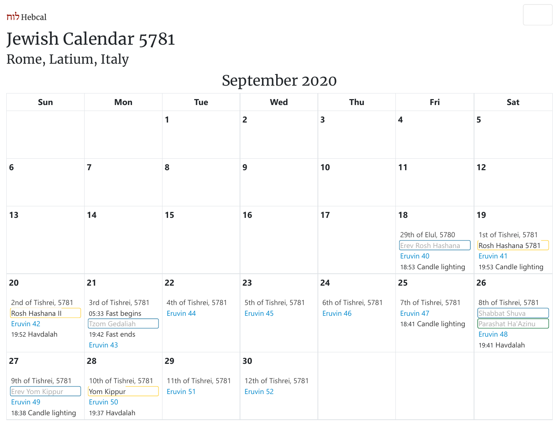Hebcal לוח



# Jewish Calendar 5781 Rome, Latium, Italy

# September 2020

| Sun                                                                                 | <b>Mon</b>                                                                                       | <b>Tue</b>                               | <b>Wed</b>                               | Thu                                     | Fri                                                                                 | Sat                                                                                             |
|-------------------------------------------------------------------------------------|--------------------------------------------------------------------------------------------------|------------------------------------------|------------------------------------------|-----------------------------------------|-------------------------------------------------------------------------------------|-------------------------------------------------------------------------------------------------|
|                                                                                     |                                                                                                  | 1                                        | $\overline{2}$                           | $\overline{\mathbf{3}}$                 | 4                                                                                   | 5                                                                                               |
| 6                                                                                   | $\overline{7}$                                                                                   | 8                                        | 9                                        | 10                                      | 11                                                                                  | 12                                                                                              |
| 13                                                                                  | 14                                                                                               | 15                                       | 16                                       | 17                                      | 18<br>29th of Elul, 5780<br>Erev Rosh Hashana<br>Eruvin 40<br>18:53 Candle lighting | 19<br>1st of Tishrei, 5781<br>Rosh Hashana 5781<br>Eruvin 41<br>19:53 Candle lighting           |
| 20<br>2nd of Tishrei, 5781<br>Rosh Hashana II<br>Eruvin 42<br>19:52 Havdalah        | 21<br>3rd of Tishrei, 5781<br>05:33 Fast begins<br>Tzom Gedaliah<br>19:42 Fast ends<br>Eruvin 43 | 22<br>4th of Tishrei, 5781<br>Eruvin 44  | 23<br>5th of Tishrei, 5781<br>Eruvin 45  | 24<br>6th of Tishrei, 5781<br>Eruvin 46 | 25<br>7th of Tishrei, 5781<br>Eruvin 47<br>18:41 Candle lighting                    | 26<br>8th of Tishrei, 5781<br>Shabbat Shuva<br>Parashat Ha'Azinu<br>Eruvin 48<br>19:41 Havdalah |
| 27<br>9th of Tishrei, 5781<br>Erev Yom Kippur<br>Eruvin 49<br>18:38 Candle lighting | 28<br>10th of Tishrei, 5781<br>Yom Kippur<br>Eruvin 50<br>19:37 Havdalah                         | 29<br>11th of Tishrei, 5781<br>Eruvin 51 | 30<br>12th of Tishrei, 5781<br>Eruvin 52 |                                         |                                                                                     |                                                                                                 |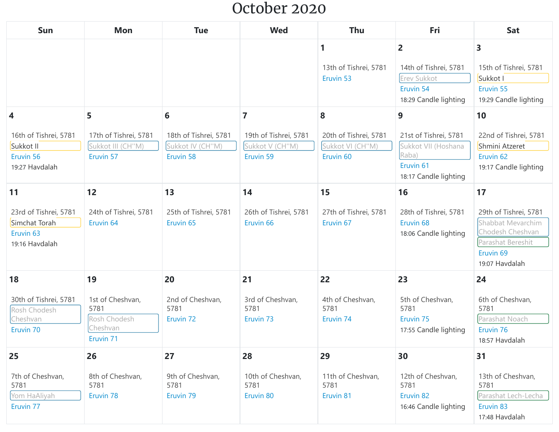#### October 2020

| Sun                                                                              | Mon                                                               | <b>Tue</b>                                       | <b>Wed</b>                                       | <b>Thu</b>                                       | Fri                                                                       | <b>Sat</b>                                                                                                                    |
|----------------------------------------------------------------------------------|-------------------------------------------------------------------|--------------------------------------------------|--------------------------------------------------|--------------------------------------------------|---------------------------------------------------------------------------|-------------------------------------------------------------------------------------------------------------------------------|
|                                                                                  |                                                                   |                                                  |                                                  | 1                                                | $\overline{2}$                                                            | 3                                                                                                                             |
|                                                                                  |                                                                   |                                                  |                                                  | 13th of Tishrei, 5781                            | 14th of Tishrei, 5781                                                     | 15th of Tishrei, 5781                                                                                                         |
|                                                                                  |                                                                   |                                                  |                                                  | Eruvin 53                                        | Erev Sukkot                                                               | Sukkot I                                                                                                                      |
|                                                                                  |                                                                   |                                                  |                                                  |                                                  | Eruvin 54                                                                 | Eruvin 55                                                                                                                     |
|                                                                                  |                                                                   |                                                  |                                                  |                                                  | 18:29 Candle lighting                                                     | 19:29 Candle lighting                                                                                                         |
| 4                                                                                | 5                                                                 | 6                                                | $\overline{7}$                                   | 8                                                | 9                                                                         | 10                                                                                                                            |
| 16th of Tishrei, 5781                                                            | 17th of Tishrei, 5781                                             | 18th of Tishrei, 5781                            | 19th of Tishrei, 5781                            | 20th of Tishrei, 5781                            | 21st of Tishrei, 5781                                                     | 22nd of Tishrei, 5781                                                                                                         |
| Sukkot II                                                                        | Sukkot III (CH"M)                                                 | Sukkot IV (CH"M)                                 | Sukkot V (CH"M)                                  | Sukkot VI (CH"M)                                 | Sukkot VII (Hoshana                                                       | Shmini Atzeret                                                                                                                |
| Eruvin 56                                                                        | Eruvin 57                                                         | Eruvin 58                                        | Eruvin 59                                        | Eruvin <sub>60</sub>                             | Raba)                                                                     | Eruvin <sub>62</sub>                                                                                                          |
| 19:27 Havdalah                                                                   |                                                                   |                                                  |                                                  |                                                  | Eruvin <sub>61</sub>                                                      | 19:17 Candle lighting                                                                                                         |
|                                                                                  |                                                                   |                                                  |                                                  |                                                  | 18:17 Candle lighting                                                     |                                                                                                                               |
| 11                                                                               | 12                                                                | 13                                               | 14                                               | 15                                               | 16                                                                        | 17                                                                                                                            |
| 23rd of Tishrei, 5781<br>Simchat Torah<br>Eruvin <sub>63</sub><br>19:16 Havdalah | 24th of Tishrei, 5781<br>Eruvin <sub>64</sub>                     | 25th of Tishrei, 5781<br>Eruvin <sub>65</sub>    | 26th of Tishrei, 5781<br>Eruvin <sub>66</sub>    | 27th of Tishrei, 5781<br>Eruvin <sub>67</sub>    | 28th of Tishrei, 5781<br>Eruvin <sub>68</sub><br>18:06 Candle lighting    | 29th of Tishrei, 5781<br>Shabbat Mevarchim<br>Chodesh Cheshvan<br>Parashat Bereshit<br>Eruvin <sub>69</sub><br>19:07 Havdalah |
| 18                                                                               | 19                                                                | 20                                               | 21                                               | 22                                               | 23                                                                        | 24                                                                                                                            |
| 30th of Tishrei, 5781<br>Rosh Chodesh<br>Cheshvan<br>Eruvin <sub>70</sub>        | 1st of Cheshvan,<br>5781<br>Rosh Chodesh<br>Cheshvan<br>Eruvin 71 | 2nd of Cheshvan,<br>5781<br>Eruvin <sub>72</sub> | 3rd of Cheshvan,<br>5781<br>Eruvin <sub>73</sub> | 4th of Cheshvan,<br>5781<br>Eruvin <sub>74</sub> | 5th of Cheshvan,<br>5781<br>Eruvin <sub>75</sub><br>17:55 Candle lighting | 6th of Cheshvan,<br>5781<br>Parashat Noach<br>Eruvin 76<br>18:57 Havdalah                                                     |
| 25                                                                               | 26                                                                | 27                                               | 28                                               | 29                                               | 30                                                                        | 31                                                                                                                            |
| 7th of Cheshvan,<br>5781<br>Yom HaAliyah<br>Eruvin 77                            | 8th of Cheshvan,<br>5781<br>Eruvin 78                             | 9th of Cheshvan,<br>5781<br>Eruvin 79            | 10th of Cheshvan,<br>5781<br>Eruvin 80           | 11th of Cheshvan,<br>5781<br>Eruvin 81           | 12th of Cheshvan,<br>5781<br>Eruvin 82<br>16:46 Candle lighting           | 13th of Cheshvan,<br>5781<br>Parashat Lech-Lecha<br>Eruvin 83<br>17:48 Havdalah                                               |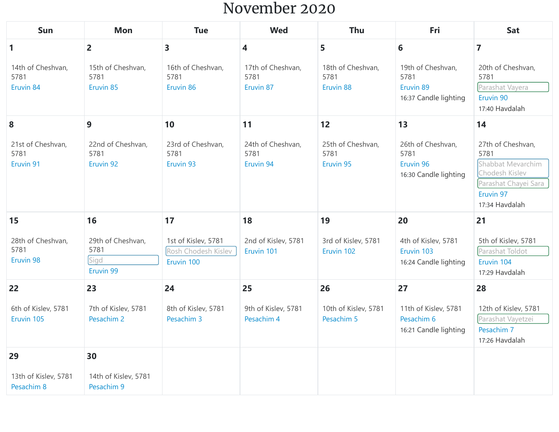#### November 2020

| Sun                                    | <b>Mon</b>                                     | <b>Tue</b>                                               | <b>Wed</b>                             | <b>Thu</b>                             | Fri                                                             | <b>Sat</b>                                                                                                              |
|----------------------------------------|------------------------------------------------|----------------------------------------------------------|----------------------------------------|----------------------------------------|-----------------------------------------------------------------|-------------------------------------------------------------------------------------------------------------------------|
| 1                                      | $\overline{2}$                                 | 3                                                        | 4                                      | 5                                      | 6                                                               | $\overline{7}$                                                                                                          |
| 14th of Cheshvan,<br>5781<br>Eruvin 84 | 15th of Cheshvan,<br>5781<br>Eruvin 85         | 16th of Cheshvan,<br>5781<br>Eruvin 86                   | 17th of Cheshvan,<br>5781<br>Eruvin 87 | 18th of Cheshvan,<br>5781<br>Eruvin 88 | 19th of Cheshvan,<br>5781<br>Eruvin 89<br>16:37 Candle lighting | 20th of Cheshvan,<br>5781<br>Parashat Vayera<br>Eruvin 90<br>17:40 Havdalah                                             |
| 8                                      | 9                                              | 10                                                       | 11                                     | 12                                     | 13                                                              | 14                                                                                                                      |
| 21st of Cheshvan,<br>5781<br>Eruvin 91 | 22nd of Cheshvan,<br>5781<br>Eruvin 92         | 23rd of Cheshvan,<br>5781<br>Eruvin 93                   | 24th of Cheshvan,<br>5781<br>Eruvin 94 | 25th of Cheshvan,<br>5781<br>Eruvin 95 | 26th of Cheshvan,<br>5781<br>Eruvin 96<br>16:30 Candle lighting | 27th of Cheshvan,<br>5781<br>Shabbat Mevarchim<br>Chodesh Kislev<br>Parashat Chayei Sara<br>Eruvin 97<br>17:34 Havdalah |
| 15                                     | 16                                             | 17                                                       | 18                                     | 19                                     | 20                                                              | 21                                                                                                                      |
| 28th of Cheshvan,<br>5781<br>Eruvin 98 | 29th of Cheshvan,<br>5781<br>Sigd<br>Eruvin 99 | 1st of Kislev, 5781<br>Rosh Chodesh Kislev<br>Eruvin 100 | 2nd of Kislev, 5781<br>Eruvin 101      | 3rd of Kislev, 5781<br>Eruvin 102      | 4th of Kislev, 5781<br>Eruvin 103<br>16:24 Candle lighting      | 5th of Kislev, 5781<br>Parashat Toldot<br>Eruvin 104<br>17:29 Havdalah                                                  |
| 22                                     | 23                                             | 24                                                       | 25                                     | 26                                     | 27                                                              | 28                                                                                                                      |
| 6th of Kislev, 5781<br>Eruvin 105      | 7th of Kislev, 5781<br>Pesachim 2              | 8th of Kislev, 5781<br>Pesachim 3                        | 9th of Kislev, 5781<br>Pesachim 4      | 10th of Kislev, 5781<br>Pesachim 5     | 11th of Kislev, 5781<br>Pesachim 6<br>16:21 Candle lighting     | 12th of Kislev, 5781<br>Parashat Vayetzei<br>Pesachim 7<br>17:26 Havdalah                                               |
| 29                                     | 30                                             |                                                          |                                        |                                        |                                                                 |                                                                                                                         |
| 13th of Kislev, 5781<br>Pesachim 8     | 14th of Kislev, 5781<br>Pesachim 9             |                                                          |                                        |                                        |                                                                 |                                                                                                                         |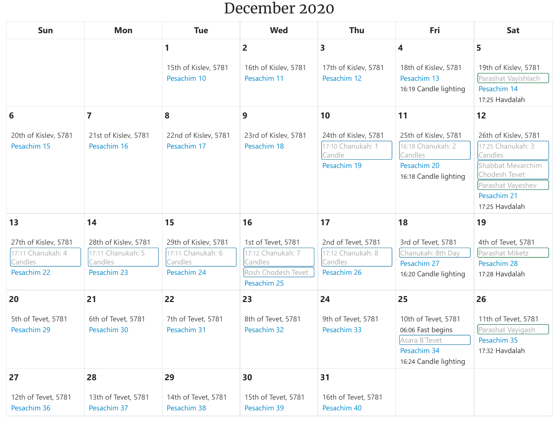#### December 2020

| Sun                                                                 | <b>Mon</b>                                                          | <b>Tue</b>                                                          | <b>Wed</b>                                                                              | <b>Thu</b>                                                         | Fri                                                                                               | Sat                                                                                                                                              |
|---------------------------------------------------------------------|---------------------------------------------------------------------|---------------------------------------------------------------------|-----------------------------------------------------------------------------------------|--------------------------------------------------------------------|---------------------------------------------------------------------------------------------------|--------------------------------------------------------------------------------------------------------------------------------------------------|
|                                                                     |                                                                     |                                                                     | $\overline{2}$                                                                          | 3                                                                  | 4                                                                                                 | 5                                                                                                                                                |
|                                                                     |                                                                     | 15th of Kislev, 5781<br>Pesachim 10                                 | 16th of Kislev, 5781<br>Pesachim 11                                                     | 17th of Kislev, 5781<br>Pesachim 12                                | 18th of Kislev, 5781<br>Pesachim 13<br>16:19 Candle lighting                                      | 19th of Kislev, 5781<br>Parashat Vayishlach<br>Pesachim 14<br>17:25 Havdalah                                                                     |
| 6                                                                   | $\overline{7}$                                                      | 8                                                                   | 9                                                                                       | 10                                                                 | 11                                                                                                | 12                                                                                                                                               |
| 20th of Kislev, 5781<br>Pesachim 15                                 | 21st of Kislev, 5781<br>Pesachim 16                                 | 22nd of Kislev, 5781<br>Pesachim 17                                 | 23rd of Kislev, 5781<br>Pesachim 18                                                     | 24th of Kislev, 5781<br>17:10 Chanukah: 1<br>Candle<br>Pesachim 19 | 25th of Kislev, 5781<br>16:18 Chanukah: 2<br>Candles<br>Pesachim 20<br>16:18 Candle lighting      | 26th of Kislev, 5781<br>17:25 Chanukah: 3<br>Candles<br>Shabbat Mevarchim<br>Chodesh Tevet<br>Parashat Vayeshev<br>Pesachim 21<br>17:25 Havdalah |
| 13                                                                  | 14                                                                  | 15                                                                  | 16                                                                                      | 17                                                                 | 18                                                                                                | 19                                                                                                                                               |
| 27th of Kislev, 5781<br>17:11 Chanukah: 4<br>Candles<br>Pesachim 22 | 28th of Kislev, 5781<br>17:11 Chanukah: 5<br>Candles<br>Pesachim 23 | 29th of Kislev, 5781<br>17:11 Chanukah: 6<br>Candles<br>Pesachim 24 | 1st of Tevet, 5781<br>17:12 Chanukah: 7<br>Candles<br>Rosh Chodesh Tevet<br>Pesachim 25 | 2nd of Tevet, 5781<br>17:12 Chanukah: 8<br>Candles<br>Pesachim 26  | 3rd of Tevet, 5781<br>Chanukah: 8th Day<br>Pesachim 27<br>16:20 Candle lighting                   | 4th of Tevet, 5781<br>Parashat Miketz<br>Pesachim 28<br>17:28 Havdalah                                                                           |
| 20                                                                  | 21                                                                  | 22                                                                  | 23                                                                                      | 24                                                                 | 25                                                                                                | 26                                                                                                                                               |
| 5th of Tevet, 5781<br>Pesachim 29                                   | 6th of Tevet, 5781<br>Pesachim 30                                   | 7th of Tevet, 5781<br>Pesachim 31                                   | 8th of Tevet, 5781<br>Pesachim 32                                                       | 9th of Tevet, 5781<br>Pesachim 33                                  | 10th of Tevet, 5781<br>06:06 Fast begins<br>Asara B'Tevet<br>Pesachim 34<br>16:24 Candle lighting | 11th of Tevet, 5781<br>Parashat Vayigash<br>Pesachim 35<br>17:32 Havdalah                                                                        |
| 27                                                                  | 28                                                                  | 29                                                                  | 30                                                                                      | 31                                                                 |                                                                                                   |                                                                                                                                                  |
| 12th of Tevet, 5781<br>Pesachim 36                                  | 13th of Tevet, 5781<br>Pesachim 37                                  | 14th of Tevet, 5781<br>Pesachim 38                                  | 15th of Tevet, 5781<br>Pesachim 39                                                      | 16th of Tevet, 5781<br>Pesachim 40                                 |                                                                                                   |                                                                                                                                                  |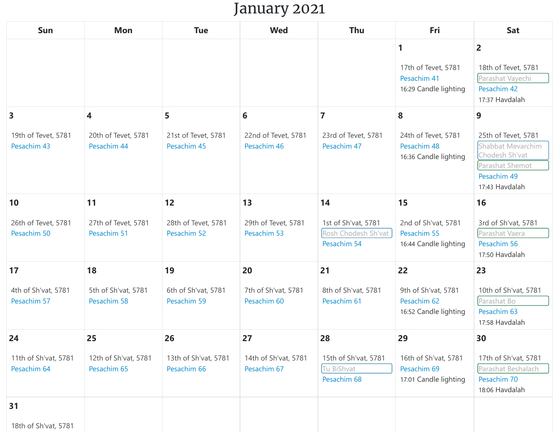## January 2021

| Sun                                 | <b>Mon</b>                          | <b>Tue</b>                          | <b>Wed</b>                          | Thu                                                       | Fri                                                              | Sat                                                                                                            |
|-------------------------------------|-------------------------------------|-------------------------------------|-------------------------------------|-----------------------------------------------------------|------------------------------------------------------------------|----------------------------------------------------------------------------------------------------------------|
|                                     |                                     |                                     |                                     |                                                           | 1<br>17th of Tevet, 5781<br>Pesachim 41<br>16:29 Candle lighting | $\overline{2}$<br>18th of Tevet, 5781<br>Parashat Vayechi<br>Pesachim 42<br>17:37 Havdalah                     |
| 3                                   | 4                                   | 5                                   | 6                                   | $\overline{7}$                                            | 8                                                                | 9                                                                                                              |
| 19th of Tevet, 5781<br>Pesachim 43  | 20th of Tevet, 5781<br>Pesachim 44  | 21st of Tevet, 5781<br>Pesachim 45  | 22nd of Tevet, 5781<br>Pesachim 46  | 23rd of Tevet, 5781<br>Pesachim 47                        | 24th of Tevet, 5781<br>Pesachim 48<br>16:36 Candle lighting      | 25th of Tevet, 5781<br>Shabbat Mevarchim<br>Chodesh Sh'vat<br>Parashat Shemot<br>Pesachim 49<br>17:43 Havdalah |
| 10                                  | 11                                  | 12                                  | 13                                  | 14                                                        | 15                                                               | 16                                                                                                             |
| 26th of Tevet, 5781<br>Pesachim 50  | 27th of Tevet, 5781<br>Pesachim 51  | 28th of Tevet, 5781<br>Pesachim 52  | 29th of Tevet, 5781<br>Pesachim 53  | 1st of Sh'vat, 5781<br>Rosh Chodesh Sh'vat<br>Pesachim 54 | 2nd of Sh'vat, 5781<br>Pesachim 55<br>16:44 Candle lighting      | 3rd of Sh'vat, 5781<br>Parashat Vaera<br>Pesachim 56<br>17:50 Havdalah                                         |
| 17                                  | 18                                  | 19                                  | 20                                  | 21                                                        | 22                                                               | 23                                                                                                             |
| 4th of Sh'vat, 5781<br>Pesachim 57  | 5th of Sh'vat, 5781<br>Pesachim 58  | 6th of Sh'vat, 5781<br>Pesachim 59  | 7th of Sh'vat, 5781<br>Pesachim 60  | 8th of Sh'vat, 5781<br>Pesachim 61                        | 9th of Sh'vat, 5781<br>Pesachim 62<br>16:52 Candle lighting      | 10th of Sh'vat, 5781<br>Parashat Bo<br>Pesachim 63<br>17:58 Havdalah                                           |
| 24                                  | 25                                  | 26                                  | 27                                  | 28                                                        | 29                                                               | 30                                                                                                             |
| 11th of Sh'vat, 5781<br>Pesachim 64 | 12th of Sh'vat, 5781<br>Pesachim 65 | 13th of Sh'vat, 5781<br>Pesachim 66 | 14th of Sh'vat, 5781<br>Pesachim 67 | 15th of Sh'vat, 5781<br>Tu BiShvat<br>Pesachim 68         | 16th of Sh'vat, 5781<br>Pesachim 69<br>17:01 Candle lighting     | 17th of Sh'vat, 5781<br>Parashat Beshalach<br>Pesachim 70<br>18:06 Havdalah                                    |
| 31                                  |                                     |                                     |                                     |                                                           |                                                                  |                                                                                                                |
| 18th of Sh'vat, 5781                |                                     |                                     |                                     |                                                           |                                                                  |                                                                                                                |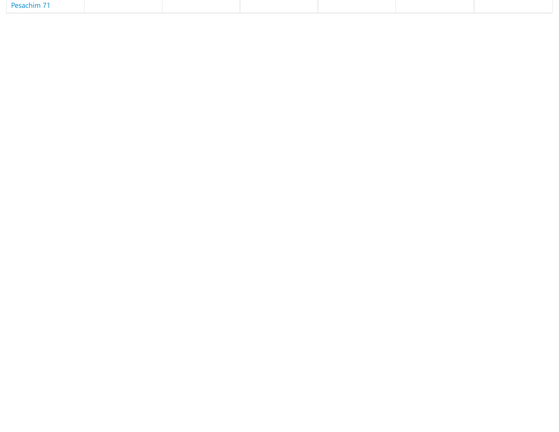| Pesachim 71 |  |  |  |
|-------------|--|--|--|
|             |  |  |  |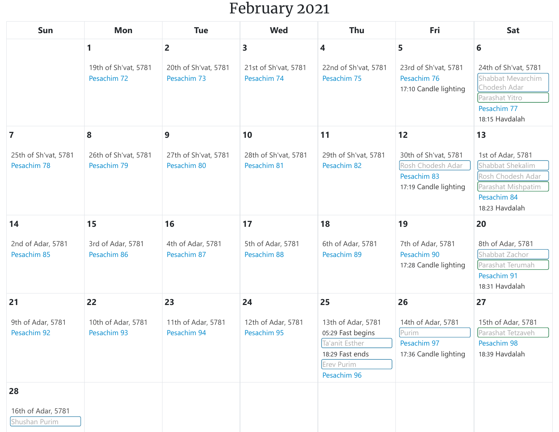## February 2021

| Sun                                 | <b>Mon</b>                          | <b>Tue</b>                          | <b>Wed</b>                          | <b>Thu</b>                                                                                                | Fri                                                                               | Sat                                                                                                               |
|-------------------------------------|-------------------------------------|-------------------------------------|-------------------------------------|-----------------------------------------------------------------------------------------------------------|-----------------------------------------------------------------------------------|-------------------------------------------------------------------------------------------------------------------|
|                                     | 1                                   | $\overline{2}$                      | $\overline{\mathbf{3}}$             | 4                                                                                                         | 5                                                                                 | 6                                                                                                                 |
|                                     | 19th of Sh'vat, 5781<br>Pesachim 72 | 20th of Sh'vat, 5781<br>Pesachim 73 | 21st of Sh'vat, 5781<br>Pesachim 74 | 22nd of Sh'vat, 5781<br>Pesachim 75                                                                       | 23rd of Sh'vat, 5781<br>Pesachim 76<br>17:10 Candle lighting                      | 24th of Sh'vat, 5781<br>Shabbat Mevarchim<br>Chodesh Adar<br>Parashat Yitro<br>Pesachim 77<br>18:15 Havdalah      |
| $\overline{\mathbf{z}}$             | 8                                   | 9                                   | 10                                  | 11                                                                                                        | 12                                                                                | 13                                                                                                                |
| 25th of Sh'vat, 5781<br>Pesachim 78 | 26th of Sh'vat, 5781<br>Pesachim 79 | 27th of Sh'vat, 5781<br>Pesachim 80 | 28th of Sh'vat, 5781<br>Pesachim 81 | 29th of Sh'vat, 5781<br>Pesachim 82                                                                       | 30th of Sh'vat, 5781<br>Rosh Chodesh Adar<br>Pesachim 83<br>17:19 Candle lighting | 1st of Adar, 5781<br>Shabbat Shekalim<br>Rosh Chodesh Adar<br>Parashat Mishpatim<br>Pesachim 84<br>18:23 Havdalah |
| 14                                  | 15                                  | 16                                  | 17                                  | 18                                                                                                        | 19                                                                                | 20                                                                                                                |
| 2nd of Adar, 5781<br>Pesachim 85    | 3rd of Adar, 5781<br>Pesachim 86    | 4th of Adar, 5781<br>Pesachim 87    | 5th of Adar, 5781<br>Pesachim 88    | 6th of Adar, 5781<br>Pesachim 89                                                                          | 7th of Adar, 5781<br>Pesachim 90<br>17:28 Candle lighting                         | 8th of Adar, 5781<br>Shabbat Zachor<br>Parashat Terumah<br>Pesachim 91<br>18:31 Havdalah                          |
| 21                                  | 22                                  | 23                                  | 24                                  | 25                                                                                                        | 26                                                                                | 27                                                                                                                |
| 9th of Adar, 5781<br>Pesachim 92    | 10th of Adar, 5781<br>Pesachim 93   | 11th of Adar, 5781<br>Pesachim 94   | 12th of Adar, 5781<br>Pesachim 95   | 13th of Adar, 5781<br>05:29 Fast begins<br>Ta'anit Esther<br>18:29 Fast ends<br>Erev Purim<br>Pesachim 96 | 14th of Adar, 5781<br>Purim<br>Pesachim 97<br>17:36 Candle lighting               | 15th of Adar, 5781<br>Parashat Tetzaveh<br>Pesachim 98<br>18:39 Havdalah                                          |
| 28                                  |                                     |                                     |                                     |                                                                                                           |                                                                                   |                                                                                                                   |
| 16th of Adar, 5781<br>Shushan Purim |                                     |                                     |                                     |                                                                                                           |                                                                                   |                                                                                                                   |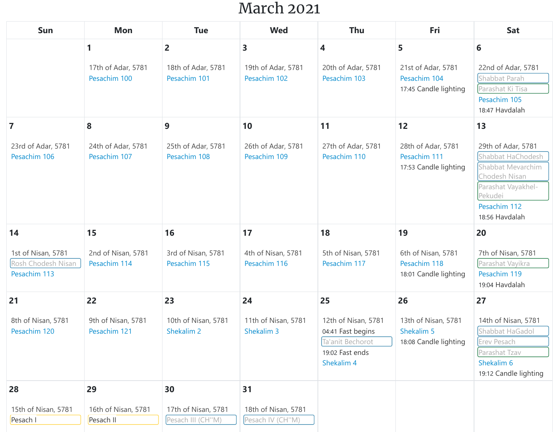#### March 2021

| Sun                                                      | <b>Mon</b>                         | <b>Tue</b>                               | <b>Wed</b>                              | Thu                                                                                           | Fri                                                         | Sat                                                                                                                                              |
|----------------------------------------------------------|------------------------------------|------------------------------------------|-----------------------------------------|-----------------------------------------------------------------------------------------------|-------------------------------------------------------------|--------------------------------------------------------------------------------------------------------------------------------------------------|
|                                                          | 1                                  | $\overline{2}$                           | $\overline{\mathbf{3}}$                 | 4                                                                                             | 5                                                           | 6                                                                                                                                                |
|                                                          | 17th of Adar, 5781<br>Pesachim 100 | 18th of Adar, 5781<br>Pesachim 101       | 19th of Adar, 5781<br>Pesachim 102      | 20th of Adar, 5781<br>Pesachim 103                                                            | 21st of Adar, 5781<br>Pesachim 104<br>17:45 Candle lighting | 22nd of Adar, 5781<br>Shabbat Parah<br>Parashat Ki Tisa<br>Pesachim 105<br>18:47 Havdalah                                                        |
| $\overline{7}$                                           | 8                                  | 9                                        | 10                                      | 11                                                                                            | 12                                                          | 13                                                                                                                                               |
| 23rd of Adar, 5781<br>Pesachim 106                       | 24th of Adar, 5781<br>Pesachim 107 | 25th of Adar, 5781<br>Pesachim 108       | 26th of Adar, 5781<br>Pesachim 109      | 27th of Adar, 5781<br>Pesachim 110                                                            | 28th of Adar, 5781<br>Pesachim 111<br>17:53 Candle lighting | 29th of Adar, 5781<br>Shabbat HaChodesh<br>Shabbat Mevarchim<br>Chodesh Nisan<br>Parashat Vayakhel-<br>Pekudei<br>Pesachim 112<br>18:56 Havdalah |
| 14                                                       | 15                                 | 16                                       | 17                                      | 18                                                                                            | 19                                                          | 20                                                                                                                                               |
| 1st of Nisan, 5781<br>Rosh Chodesh Nisan<br>Pesachim 113 | 2nd of Nisan, 5781<br>Pesachim 114 | 3rd of Nisan, 5781<br>Pesachim 115       | 4th of Nisan, 5781<br>Pesachim 116      | 5th of Nisan, 5781<br>Pesachim 117                                                            | 6th of Nisan, 5781<br>Pesachim 118<br>18:01 Candle lighting | 7th of Nisan, 5781<br>Parashat Vayikra<br>Pesachim 119<br>19:04 Havdalah                                                                         |
| 21                                                       | 22                                 | 23                                       | 24                                      | 25                                                                                            | 26                                                          | 27                                                                                                                                               |
| 8th of Nisan, 5781<br>Pesachim 120                       | 9th of Nisan, 5781<br>Pesachim 121 | 10th of Nisan, 5781<br>Shekalim 2        | 11th of Nisan, 5781<br>Shekalim 3       | 12th of Nisan, 5781<br>04:41 Fast begins<br>Ta'anit Bechorot<br>19:02 Fast ends<br>Shekalim 4 | 13th of Nisan, 5781<br>Shekalim 5<br>18:08 Candle lighting  | 14th of Nisan, 5781<br>Shabbat HaGadol<br>Erev Pesach<br>Parashat Tzav<br>Shekalim 6<br>19:12 Candle lighting                                    |
| 28                                                       | 29                                 | 30                                       | 31                                      |                                                                                               |                                                             |                                                                                                                                                  |
| 15th of Nisan, 5781<br>Pesach I                          | 16th of Nisan, 5781<br>Pesach II   | 17th of Nisan, 5781<br>Pesach III (CH"M) | 18th of Nisan, 5781<br>Pesach IV (CH"M) |                                                                                               |                                                             |                                                                                                                                                  |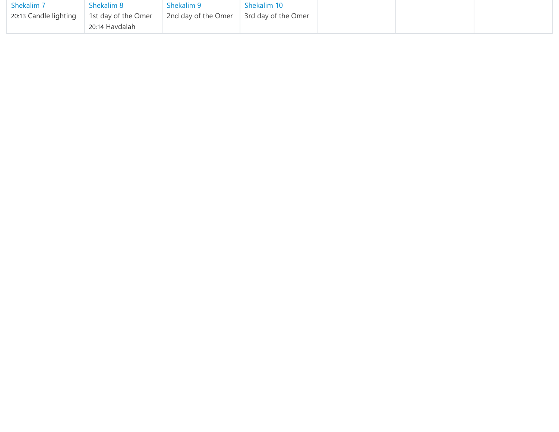| Shekalim 7                                            | - Shekalim 8   | Shekalim 9                              | Shekalim 10 |  |  |
|-------------------------------------------------------|----------------|-----------------------------------------|-------------|--|--|
| 20:13 Candle lighting $\parallel$ 1st day of the Omer |                | 2nd day of the Omer 3rd day of the Omer |             |  |  |
|                                                       | 20:14 Havdalah |                                         |             |  |  |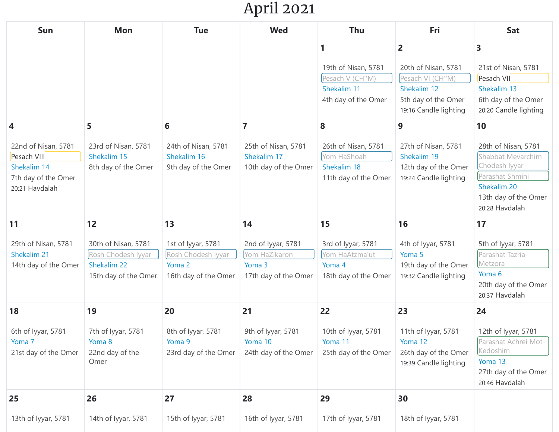## April 2021

| Sun                                                                                             | <b>Mon</b>                                                                             | <b>Tue</b>                                                                       | <b>Wed</b>                                                                  | Thu                                                                               | Fri                                                                                                                      | Sat                                                                                                                                         |
|-------------------------------------------------------------------------------------------------|----------------------------------------------------------------------------------------|----------------------------------------------------------------------------------|-----------------------------------------------------------------------------|-----------------------------------------------------------------------------------|--------------------------------------------------------------------------------------------------------------------------|---------------------------------------------------------------------------------------------------------------------------------------------|
|                                                                                                 |                                                                                        |                                                                                  |                                                                             | 1<br>19th of Nisan, 5781<br>Pesach V (CH"M)<br>Shekalim 11<br>4th day of the Omer | $\overline{2}$<br>20th of Nisan, 5781<br>Pesach VI (CH"M)<br>Shekalim 12<br>5th day of the Omer<br>19:16 Candle lighting | 3<br>21st of Nisan, 5781<br>Pesach VII<br>Shekalim 13<br>6th day of the Omer<br>20:20 Candle lighting                                       |
| 4<br>22nd of Nisan, 5781<br>Pesach VIII<br>Shekalim 14<br>7th day of the Omer<br>20:21 Havdalah | 5<br>23rd of Nisan, 5781<br>Shekalim 15<br>8th day of the Omer                         | 6<br>24th of Nisan, 5781<br>Shekalim 16<br>9th day of the Omer                   | 7<br>25th of Nisan, 5781<br>Shekalim 17<br>10th day of the Omer             | 8<br>26th of Nisan, 5781<br>Yom HaShoah<br>Shekalim 18<br>11th day of the Omer    | 9<br>27th of Nisan, 5781<br>Shekalim 19<br>12th day of the Omer<br>19:24 Candle lighting                                 | 10<br>28th of Nisan, 5781<br>Shabbat Mevarchim<br>Chodesh Iyyar<br>Parashat Shmini<br>Shekalim 20<br>13th day of the Omer<br>20:28 Havdalah |
| 11<br>29th of Nisan, 5781<br>Shekalim 21<br>14th day of the Omer                                | 12<br>30th of Nisan, 5781<br>Rosh Chodesh Iyyar<br>Shekalim 22<br>15th day of the Omer | 13<br>1st of Iyyar, 5781<br>Rosh Chodesh Iyyar<br>Yoma 2<br>16th day of the Omer | 14<br>2nd of Iyyar, 5781<br>Yom HaZikaron<br>Yoma 3<br>17th day of the Omer | 15<br>3rd of Iyyar, 5781<br>Yom HaAtzma'ut<br>Yoma 4<br>18th day of the Omer      | 16<br>4th of Iyyar, 5781<br>Yoma 5<br>19th day of the Omer<br>19:32 Candle lighting                                      | 17<br>5th of Iyyar, 5781<br>Parashat Tazria-<br>Metzora<br>Yoma 6<br>20th day of the Omer<br>20:37 Havdalah                                 |
| 18<br>6th of Iyyar, 5781<br>Yoma <sub>7</sub><br>21st day of the Omer                           | 19<br>7th of Iyyar, 5781<br>Yoma 8<br>22nd day of the<br>Omer                          | 20<br>8th of Iyyar, 5781<br>Yoma 9<br>23rd day of the Omer                       | 21<br>9th of Iyyar, 5781<br>Yoma 10<br>24th day of the Omer                 | 22<br>10th of Iyyar, 5781<br>Yoma 11<br>25th day of the Omer                      | 23<br>11th of Iyyar, 5781<br>Yoma 12<br>26th day of the Omer<br>19:39 Candle lighting                                    | 24<br>12th of Iyyar, 5781<br>Parashat Achrei Mot-<br>Kedoshim<br>Yoma 13<br>27th day of the Omer<br>20:46 Havdalah                          |
| 25<br>13th of Iyyar, 5781                                                                       | 26<br>14th of Iyyar, 5781                                                              | 27<br>15th of Iyyar, 5781                                                        | 28<br>16th of Iyyar, 5781                                                   | 29<br>17th of Iyyar, 5781                                                         | 30<br>18th of Iyyar, 5781                                                                                                |                                                                                                                                             |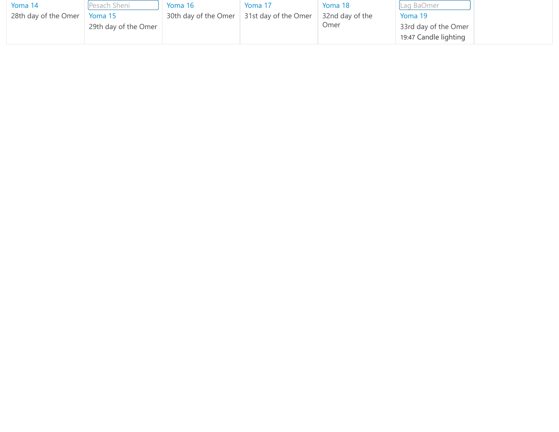| Yoma 14              | Pesach Sheni         | Yoma 16 | Yoma 17                                   | Yoma 18         | Lag BaOmer            |  |
|----------------------|----------------------|---------|-------------------------------------------|-----------------|-----------------------|--|
| 28th day of the Omer | Yoma 15              |         | 30th day of the Omer 31st day of the Omer | 32nd day of the | Yoma 19               |  |
|                      | 29th day of the Omer |         |                                           | Omer            | 33rd day of the Omer  |  |
|                      |                      |         |                                           |                 | 19:47 Candle lighting |  |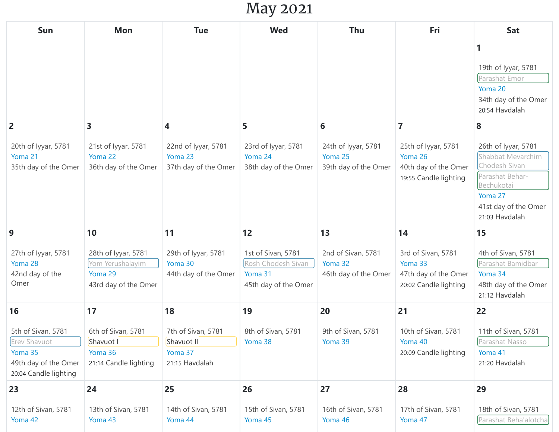## May 2021

| Sun                                                                                                   | <b>Mon</b>                                                                 | <b>Tue</b>                                                    | <b>Wed</b>                                                                  | Thu                                                    | Fri                                                                             | <b>Sat</b>                                                                                                                                      |
|-------------------------------------------------------------------------------------------------------|----------------------------------------------------------------------------|---------------------------------------------------------------|-----------------------------------------------------------------------------|--------------------------------------------------------|---------------------------------------------------------------------------------|-------------------------------------------------------------------------------------------------------------------------------------------------|
|                                                                                                       |                                                                            |                                                               |                                                                             |                                                        |                                                                                 | 1<br>19th of Iyyar, 5781<br>Parashat Emor<br>Yoma 20<br>34th day of the Omer<br>20:54 Havdalah                                                  |
| 2                                                                                                     | 3                                                                          | 4                                                             | 5                                                                           | 6                                                      | $\overline{\mathbf{z}}$                                                         | 8                                                                                                                                               |
| 20th of Iyyar, 5781<br>Yoma 21<br>35th day of the Omer                                                | 21st of lyyar, 5781<br>Yoma 22<br>36th day of the Omer                     | 22nd of Iyyar, 5781<br>Yoma 23<br>37th day of the Omer        | 23rd of Iyyar, 5781<br>Yoma 24<br>38th day of the Omer                      | 24th of Iyyar, 5781<br>Yoma 25<br>39th day of the Omer | 25th of Iyyar, 5781<br>Yoma 26<br>40th day of the Omer<br>19:55 Candle lighting | 26th of Iyyar, 5781<br>Shabbat Mevarchim<br>Chodesh Sivan<br>Parashat Behar-<br>Bechukotai<br>Yoma 27<br>41st day of the Omer<br>21:03 Havdalah |
| 9                                                                                                     | 10                                                                         | 11                                                            | 12                                                                          | 13                                                     | 14                                                                              | 15                                                                                                                                              |
| 27th of Iyyar, 5781<br>Yoma 28<br>42nd day of the<br>Omer                                             | 28th of Iyyar, 5781<br>Yom Yerushalayim<br>Yoma 29<br>43rd day of the Omer | 29th of Iyyar, 5781<br>Yoma 30<br>44th day of the Omer        | 1st of Sivan, 5781<br>Rosh Chodesh Sivan<br>Yoma 31<br>45th day of the Omer | 2nd of Sivan, 5781<br>Yoma 32<br>46th day of the Omer  | 3rd of Sivan, 5781<br>Yoma 33<br>47th day of the Omer<br>20:02 Candle lighting  | 4th of Sivan, 5781<br>Parashat Bamidbar<br>Yoma 34<br>48th day of the Omer<br>21:12 Havdalah                                                    |
| 16                                                                                                    | 17                                                                         | 18                                                            | 19                                                                          | 20                                                     | 21                                                                              | 22                                                                                                                                              |
| 5th of Sivan, 5781<br><b>Erev Shavuot</b><br>Yoma 35<br>49th day of the Omer<br>20:04 Candle lighting | 6th of Sivan, 5781<br>Shavuot I<br>Yoma 36<br>21:14 Candle lighting        | 7th of Sivan, 5781<br>Shavuot II<br>Yoma 37<br>21:15 Havdalah | 8th of Sivan, 5781<br>Yoma 38                                               | 9th of Sivan, 5781<br>Yoma 39                          | 10th of Sivan, 5781<br>Yoma 40<br>20:09 Candle lighting                         | 11th of Sivan, 5781<br>Parashat Nasso<br>Yoma 41<br>21:20 Havdalah                                                                              |
| 23                                                                                                    | 24                                                                         | 25                                                            | 26                                                                          | 27                                                     | 28                                                                              | 29                                                                                                                                              |
| 12th of Sivan, 5781<br>Yoma 42                                                                        | 13th of Sivan, 5781<br>Yoma 43                                             | 14th of Sivan, 5781<br>Yoma 44                                | 15th of Sivan, 5781<br>Yoma 45                                              | 16th of Sivan, 5781<br>Yoma 46                         | 17th of Sivan, 5781<br>Yoma 47                                                  | 18th of Sivan, 5781<br>Parashat Beha'alotcha                                                                                                    |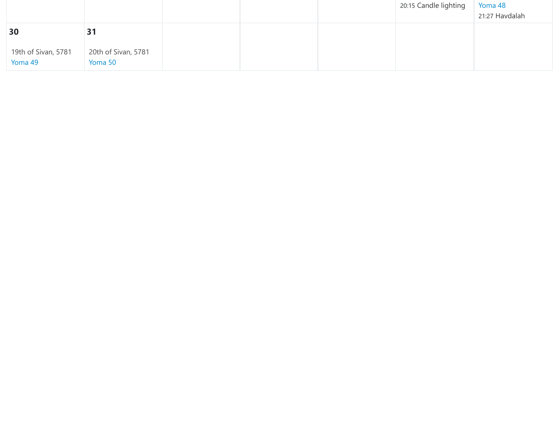|                                |                                |  | 20:15 Candle lighting | Yoma 48<br>21:27 Havdalah |
|--------------------------------|--------------------------------|--|-----------------------|---------------------------|
| 30                             | 31                             |  |                       |                           |
| 19th of Sivan, 5781<br>Yoma 49 | 20th of Sivan, 5781<br>Yoma 50 |  |                       |                           |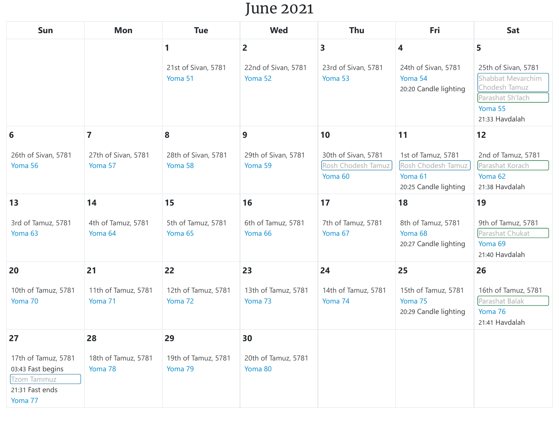#### June 2021

| Sun                                                                                   | <b>Mon</b>                     | <b>Tue</b>                     | <b>Wed</b>                     | <b>Thu</b>                                           | Fri                                                                          | Sat                                                                                                        |
|---------------------------------------------------------------------------------------|--------------------------------|--------------------------------|--------------------------------|------------------------------------------------------|------------------------------------------------------------------------------|------------------------------------------------------------------------------------------------------------|
|                                                                                       |                                | 1                              | $\overline{2}$                 | 3                                                    | 4                                                                            | 5                                                                                                          |
|                                                                                       |                                | 21st of Sivan, 5781<br>Yoma 51 | 22nd of Sivan, 5781<br>Yoma 52 | 23rd of Sivan, 5781<br>Yoma 53                       | 24th of Sivan, 5781<br>Yoma 54<br>20:20 Candle lighting                      | 25th of Sivan, 5781<br>Shabbat Mevarchim<br>Chodesh Tamuz<br>Parashat Sh'lach<br>Yoma 55<br>21:33 Havdalah |
| 6                                                                                     | $\overline{7}$                 | 8                              | 9                              | 10                                                   | 11                                                                           | 12                                                                                                         |
| 26th of Sivan, 5781<br>Yoma 56                                                        | 27th of Sivan, 5781<br>Yoma 57 | 28th of Sivan, 5781<br>Yoma 58 | 29th of Sivan, 5781<br>Yoma 59 | 30th of Sivan, 5781<br>Rosh Chodesh Tamuz<br>Yoma 60 | 1st of Tamuz, 5781<br>Rosh Chodesh Tamuz<br>Yoma 61<br>20:25 Candle lighting | 2nd of Tamuz, 5781<br>Parashat Korach<br>Yoma 62<br>21:38 Havdalah                                         |
| 13                                                                                    | 14                             | 15                             | 16                             | 17                                                   | 18                                                                           | 19                                                                                                         |
| 3rd of Tamuz, 5781<br>Yoma 63                                                         | 4th of Tamuz, 5781<br>Yoma 64  | 5th of Tamuz, 5781<br>Yoma 65  | 6th of Tamuz, 5781<br>Yoma 66  | 7th of Tamuz, 5781<br>Yoma 67                        | 8th of Tamuz, 5781<br>Yoma 68<br>20:27 Candle lighting                       | 9th of Tamuz, 5781<br>Parashat Chukat<br>Yoma 69<br>21:40 Havdalah                                         |
| 20                                                                                    | 21                             | 22                             | 23                             | 24                                                   | 25                                                                           | 26                                                                                                         |
| 10th of Tamuz, 5781<br>Yoma 70                                                        | 11th of Tamuz, 5781<br>Yoma 71 | 12th of Tamuz, 5781<br>Yoma 72 | 13th of Tamuz, 5781<br>Yoma 73 | 14th of Tamuz, 5781<br>Yoma 74                       | 15th of Tamuz, 5781<br>Yoma 75<br>20:29 Candle lighting                      | 16th of Tamuz, 5781<br>Parashat Balak<br>Yoma 76<br>21:41 Havdalah                                         |
| 27                                                                                    | 28                             | 29                             | 30                             |                                                      |                                                                              |                                                                                                            |
| 17th of Tamuz, 5781<br>03:43 Fast begins<br>Tzom Tammuz<br>21:31 Fast ends<br>Yoma 77 | 18th of Tamuz, 5781<br>Yoma 78 | 19th of Tamuz, 5781<br>Yoma 79 | 20th of Tamuz, 5781<br>Yoma 80 |                                                      |                                                                              |                                                                                                            |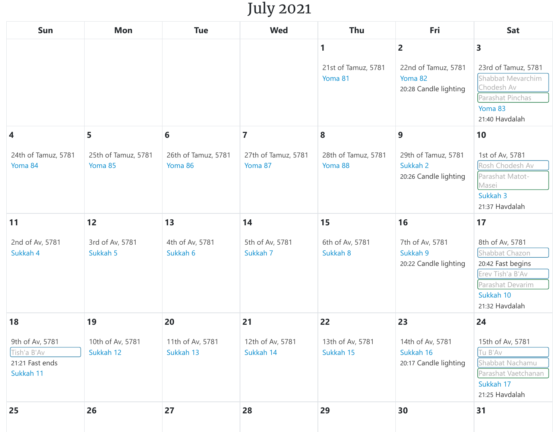### July 2021

| Sun                                                            | Mon                            | <b>Tue</b>                     | <b>Wed</b>                     | Thu                                 | Fri                                                                       | <b>Sat</b>                                                                                                                    |
|----------------------------------------------------------------|--------------------------------|--------------------------------|--------------------------------|-------------------------------------|---------------------------------------------------------------------------|-------------------------------------------------------------------------------------------------------------------------------|
|                                                                |                                |                                |                                | 1<br>21st of Tamuz, 5781<br>Yoma 81 | $\overline{2}$<br>22nd of Tamuz, 5781<br>Yoma 82<br>20:28 Candle lighting | 3<br>23rd of Tamuz, 5781<br>Shabbat Mevarchim<br>Chodesh Av<br>Parashat Pinchas<br>Yoma 83<br>21:40 Havdalah                  |
| 4                                                              | 5                              | 6                              | $\overline{7}$                 | 8                                   | 9                                                                         | 10                                                                                                                            |
| 24th of Tamuz, 5781<br>Yoma 84                                 | 25th of Tamuz, 5781<br>Yoma 85 | 26th of Tamuz, 5781<br>Yoma 86 | 27th of Tamuz, 5781<br>Yoma 87 | 28th of Tamuz, 5781<br>Yoma 88      | 29th of Tamuz, 5781<br>Sukkah 2<br>20:26 Candle lighting                  | 1st of Av, 5781<br>Rosh Chodesh Av<br>Parashat Matot-<br>Masei<br>Sukkah 3<br>21:37 Havdalah                                  |
| 11                                                             | 12                             | 13                             | 14                             | 15                                  | 16                                                                        | 17                                                                                                                            |
| 2nd of Av, 5781<br>Sukkah 4                                    | 3rd of Av, 5781<br>Sukkah 5    | 4th of Av, 5781<br>Sukkah 6    | 5th of Av, 5781<br>Sukkah 7    | 6th of Av, 5781<br>Sukkah 8         | 7th of Av, 5781<br>Sukkah 9<br>20:22 Candle lighting                      | 8th of Av, 5781<br>Shabbat Chazon<br>20:42 Fast begins<br>Erev Tish'a B'Av<br>Parashat Devarim<br>Sukkah 10<br>21:32 Havdalah |
| 18                                                             | 19                             | 20                             | 21                             | 22                                  | 23                                                                        | 24                                                                                                                            |
| 9th of Av, 5781<br>Tish'a B'Av<br>21:21 Fast ends<br>Sukkah 11 | 10th of Av, 5781<br>Sukkah 12  | 11th of Av, 5781<br>Sukkah 13  | 12th of Av, 5781<br>Sukkah 14  | 13th of Av, 5781<br>Sukkah 15       | 14th of Av, 5781<br>Sukkah 16<br>20:17 Candle lighting                    | 15th of Av, 5781<br>Tu B'Av<br>Shabbat Nachamu<br>Parashat Vaetchanan<br>Sukkah 17<br>21:25 Havdalah                          |
| 25                                                             | 26                             | 27                             | 28                             | 29                                  | 30                                                                        | 31                                                                                                                            |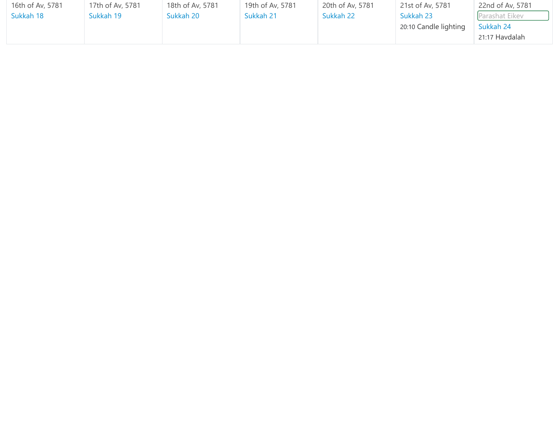| 16th of Av, 5781 | 17th of Av, 5781 | 18th of Av, 5781 | 19th of Av, 5781 | 20th of Av, 5781 | 21st of Av, 5781      | 22nd of Av, 5781 |
|------------------|------------------|------------------|------------------|------------------|-----------------------|------------------|
| Sukkah 18        | Sukkah 19        | Sukkah 20        | Sukkah 21        | Sukkah 22        | Sukkah 23             | Parashat Eikev   |
|                  |                  |                  |                  |                  | 20:10 Candle lighting | Sukkah 24        |
|                  |                  |                  |                  |                  |                       | 21:17 Havdalah   |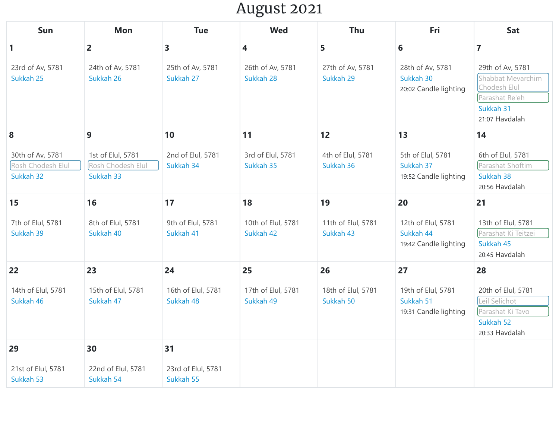## August 2021

| Sun                                                | <b>Mon</b>                                          | <b>Tue</b>                      | <b>Wed</b>                      | Thu                             | Fri                                                      | Sat                                                                                                    |
|----------------------------------------------------|-----------------------------------------------------|---------------------------------|---------------------------------|---------------------------------|----------------------------------------------------------|--------------------------------------------------------------------------------------------------------|
| $\mathbf{1}$                                       | $\overline{2}$                                      | $\overline{\mathbf{3}}$         | $\overline{\mathbf{4}}$         | 5                               | 6                                                        | $\overline{7}$                                                                                         |
| 23rd of Av, 5781<br>Sukkah 25                      | 24th of Av, 5781<br>Sukkah 26                       | 25th of Av, 5781<br>Sukkah 27   | 26th of Av, 5781<br>Sukkah 28   | 27th of Av, 5781<br>Sukkah 29   | 28th of Av, 5781<br>Sukkah 30<br>20:02 Candle lighting   | 29th of Av, 5781<br>Shabbat Mevarchim<br>Chodesh Elul<br>Parashat Re'eh<br>Sukkah 31<br>21:07 Havdalah |
| 8                                                  | 9                                                   | 10                              | 11                              | 12                              | 13                                                       | 14                                                                                                     |
| 30th of Av, 5781<br>Rosh Chodesh Elul<br>Sukkah 32 | 1st of Elul, 5781<br>Rosh Chodesh Elul<br>Sukkah 33 | 2nd of Elul, 5781<br>Sukkah 34  | 3rd of Elul, 5781<br>Sukkah 35  | 4th of Elul, 5781<br>Sukkah 36  | 5th of Elul, 5781<br>Sukkah 37<br>19:52 Candle lighting  | 6th of Elul, 5781<br>Parashat Shoftim<br>Sukkah 38<br>20:56 Havdalah                                   |
| 15                                                 | 16                                                  | 17                              | 18                              | 19                              | 20                                                       | 21                                                                                                     |
| 7th of Elul, 5781<br>Sukkah 39                     | 8th of Elul, 5781<br>Sukkah 40                      | 9th of Elul, 5781<br>Sukkah 41  | 10th of Elul, 5781<br>Sukkah 42 | 11th of Elul, 5781<br>Sukkah 43 | 12th of Elul, 5781<br>Sukkah 44<br>19:42 Candle lighting | 13th of Elul, 5781<br>Parashat Ki Teitzei<br>Sukkah 45<br>20:45 Havdalah                               |
| 22                                                 | 23                                                  | 24                              | 25                              | 26                              | 27                                                       | 28                                                                                                     |
| 14th of Elul, 5781<br>Sukkah 46                    | 15th of Elul, 5781<br>Sukkah 47                     | 16th of Elul, 5781<br>Sukkah 48 | 17th of Elul, 5781<br>Sukkah 49 | 18th of Elul, 5781<br>Sukkah 50 | 19th of Elul, 5781<br>Sukkah 51<br>19:31 Candle lighting | 20th of Elul, 5781<br>Leil Selichot<br>Parashat Ki Tavo<br>Sukkah 52<br>20:33 Havdalah                 |
| 29                                                 | 30                                                  | 31                              |                                 |                                 |                                                          |                                                                                                        |
| 21st of Elul, 5781<br>Sukkah 53                    | 22nd of Elul, 5781<br>Sukkah 54                     | 23rd of Elul, 5781<br>Sukkah 55 |                                 |                                 |                                                          |                                                                                                        |